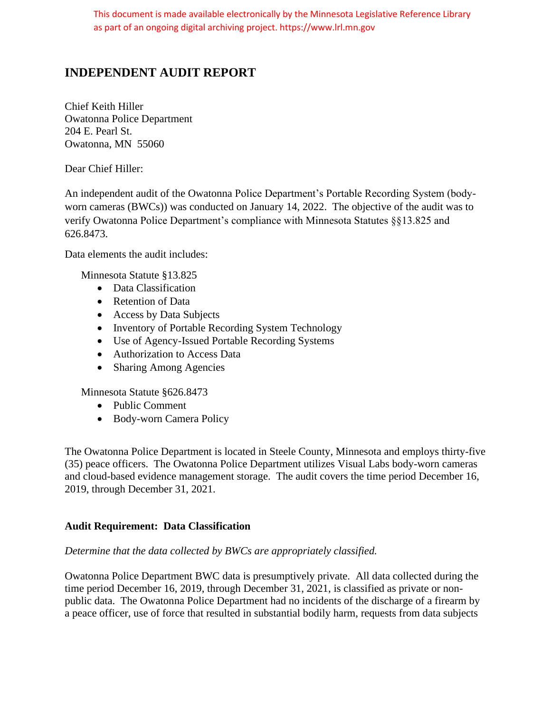# **INDEPENDENT AUDIT REPORT**

Chief Keith Hiller Owatonna Police Department 204 E. Pearl St. Owatonna, MN 55060

Dear Chief Hiller:

An independent audit of the Owatonna Police Department's Portable Recording System (bodyworn cameras (BWCs)) was conducted on January 14, 2022. The objective of the audit was to verify Owatonna Police Department's compliance with Minnesota Statutes §§13.825 and 626.8473.

Data elements the audit includes:

Minnesota Statute §13.825

- Data Classification
- Retention of Data
- Access by Data Subjects
- Inventory of Portable Recording System Technology
- Use of Agency-Issued Portable Recording Systems
- Authorization to Access Data
- Sharing Among Agencies

Minnesota Statute §626.8473

- Public Comment
- Body-worn Camera Policy

The Owatonna Police Department is located in Steele County, Minnesota and employs thirty-five (35) peace officers. The Owatonna Police Department utilizes Visual Labs body-worn cameras and cloud-based evidence management storage. The audit covers the time period December 16, 2019, through December 31, 2021.

#### **Audit Requirement: Data Classification**

#### *Determine that the data collected by BWCs are appropriately classified.*

Owatonna Police Department BWC data is presumptively private. All data collected during the time period December 16, 2019, through December 31, 2021, is classified as private or nonpublic data. The Owatonna Police Department had no incidents of the discharge of a firearm by a peace officer, use of force that resulted in substantial bodily harm, requests from data subjects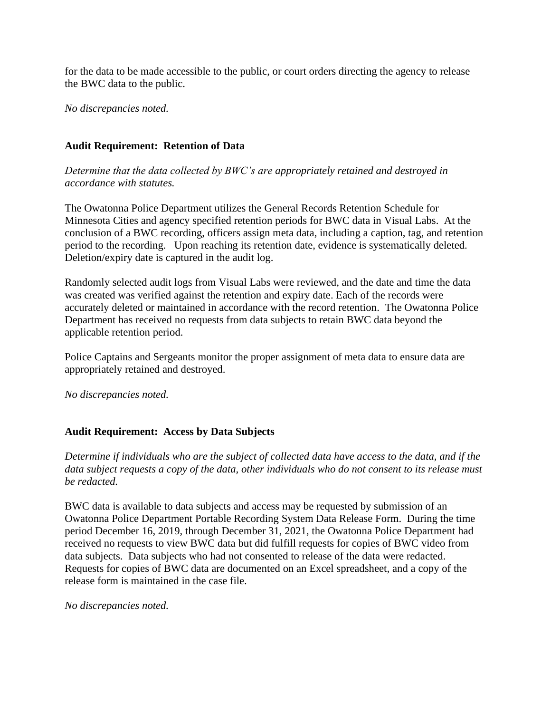for the data to be made accessible to the public, or court orders directing the agency to release the BWC data to the public.

*No discrepancies noted.*

# **Audit Requirement: Retention of Data**

*Determine that the data collected by BWC's are appropriately retained and destroyed in accordance with statutes.*

The Owatonna Police Department utilizes the General Records Retention Schedule for Minnesota Cities and agency specified retention periods for BWC data in Visual Labs. At the conclusion of a BWC recording, officers assign meta data, including a caption, tag, and retention period to the recording. Upon reaching its retention date, evidence is systematically deleted. Deletion/expiry date is captured in the audit log.

Randomly selected audit logs from Visual Labs were reviewed, and the date and time the data was created was verified against the retention and expiry date. Each of the records were accurately deleted or maintained in accordance with the record retention. The Owatonna Police Department has received no requests from data subjects to retain BWC data beyond the applicable retention period.

Police Captains and Sergeants monitor the proper assignment of meta data to ensure data are appropriately retained and destroyed.

*No discrepancies noted.*

# **Audit Requirement: Access by Data Subjects**

*Determine if individuals who are the subject of collected data have access to the data, and if the data subject requests a copy of the data, other individuals who do not consent to its release must be redacted.*

BWC data is available to data subjects and access may be requested by submission of an Owatonna Police Department Portable Recording System Data Release Form. During the time period December 16, 2019, through December 31, 2021, the Owatonna Police Department had received no requests to view BWC data but did fulfill requests for copies of BWC video from data subjects. Data subjects who had not consented to release of the data were redacted. Requests for copies of BWC data are documented on an Excel spreadsheet, and a copy of the release form is maintained in the case file.

*No discrepancies noted.*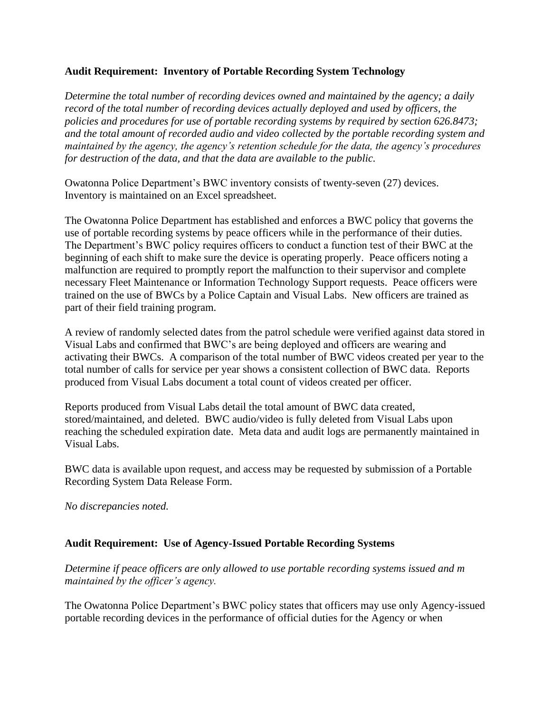# **Audit Requirement: Inventory of Portable Recording System Technology**

*Determine the total number of recording devices owned and maintained by the agency; a daily record of the total number of recording devices actually deployed and used by officers, the policies and procedures for use of portable recording systems by required by section 626.8473; and the total amount of recorded audio and video collected by the portable recording system and maintained by the agency, the agency's retention schedule for the data, the agency's procedures for destruction of the data, and that the data are available to the public.*

Owatonna Police Department's BWC inventory consists of twenty-seven (27) devices. Inventory is maintained on an Excel spreadsheet.

The Owatonna Police Department has established and enforces a BWC policy that governs the use of portable recording systems by peace officers while in the performance of their duties. The Department's BWC policy requires officers to conduct a function test of their BWC at the beginning of each shift to make sure the device is operating properly. Peace officers noting a malfunction are required to promptly report the malfunction to their supervisor and complete necessary Fleet Maintenance or Information Technology Support requests. Peace officers were trained on the use of BWCs by a Police Captain and Visual Labs. New officers are trained as part of their field training program.

A review of randomly selected dates from the patrol schedule were verified against data stored in Visual Labs and confirmed that BWC's are being deployed and officers are wearing and activating their BWCs. A comparison of the total number of BWC videos created per year to the total number of calls for service per year shows a consistent collection of BWC data. Reports produced from Visual Labs document a total count of videos created per officer.

Reports produced from Visual Labs detail the total amount of BWC data created, stored/maintained, and deleted. BWC audio/video is fully deleted from Visual Labs upon reaching the scheduled expiration date. Meta data and audit logs are permanently maintained in Visual Labs.

BWC data is available upon request, and access may be requested by submission of a Portable Recording System Data Release Form.

*No discrepancies noted.*

# **Audit Requirement: Use of Agency-Issued Portable Recording Systems**

*Determine if peace officers are only allowed to use portable recording systems issued and m maintained by the officer's agency.*

The Owatonna Police Department's BWC policy states that officers may use only Agency-issued portable recording devices in the performance of official duties for the Agency or when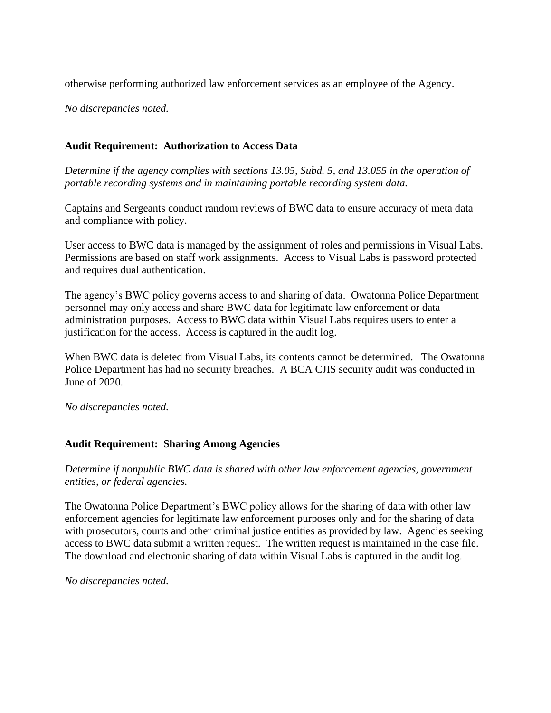otherwise performing authorized law enforcement services as an employee of the Agency.

*No discrepancies noted.*

## **Audit Requirement: Authorization to Access Data**

*Determine if the agency complies with sections 13.05, Subd. 5, and 13.055 in the operation of portable recording systems and in maintaining portable recording system data.*

Captains and Sergeants conduct random reviews of BWC data to ensure accuracy of meta data and compliance with policy.

User access to BWC data is managed by the assignment of roles and permissions in Visual Labs. Permissions are based on staff work assignments. Access to Visual Labs is password protected and requires dual authentication.

The agency's BWC policy governs access to and sharing of data. Owatonna Police Department personnel may only access and share BWC data for legitimate law enforcement or data administration purposes. Access to BWC data within Visual Labs requires users to enter a justification for the access. Access is captured in the audit log.

When BWC data is deleted from Visual Labs, its contents cannot be determined. The Owatonna Police Department has had no security breaches. A BCA CJIS security audit was conducted in June of 2020.

*No discrepancies noted.*

#### **Audit Requirement: Sharing Among Agencies**

*Determine if nonpublic BWC data is shared with other law enforcement agencies, government entities, or federal agencies.*

The Owatonna Police Department's BWC policy allows for the sharing of data with other law enforcement agencies for legitimate law enforcement purposes only and for the sharing of data with prosecutors, courts and other criminal justice entities as provided by law. Agencies seeking access to BWC data submit a written request. The written request is maintained in the case file. The download and electronic sharing of data within Visual Labs is captured in the audit log.

*No discrepancies noted.*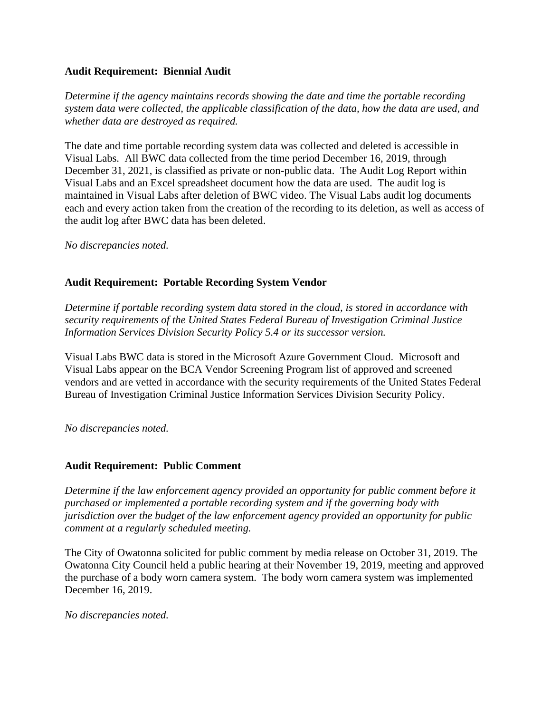## **Audit Requirement: Biennial Audit**

*Determine if the agency maintains records showing the date and time the portable recording system data were collected, the applicable classification of the data, how the data are used, and whether data are destroyed as required.* 

The date and time portable recording system data was collected and deleted is accessible in Visual Labs. All BWC data collected from the time period December 16, 2019, through December 31, 2021, is classified as private or non-public data. The Audit Log Report within Visual Labs and an Excel spreadsheet document how the data are used. The audit log is maintained in Visual Labs after deletion of BWC video. The Visual Labs audit log documents each and every action taken from the creation of the recording to its deletion, as well as access of the audit log after BWC data has been deleted.

*No discrepancies noted.*

## **Audit Requirement: Portable Recording System Vendor**

*Determine if portable recording system data stored in the cloud, is stored in accordance with security requirements of the United States Federal Bureau of Investigation Criminal Justice Information Services Division Security Policy 5.4 or its successor version.*

Visual Labs BWC data is stored in the Microsoft Azure Government Cloud. Microsoft and Visual Labs appear on the BCA Vendor Screening Program list of approved and screened vendors and are vetted in accordance with the security requirements of the United States Federal Bureau of Investigation Criminal Justice Information Services Division Security Policy.

*No discrepancies noted.*

#### **Audit Requirement: Public Comment**

*Determine if the law enforcement agency provided an opportunity for public comment before it purchased or implemented a portable recording system and if the governing body with jurisdiction over the budget of the law enforcement agency provided an opportunity for public comment at a regularly scheduled meeting.* 

The City of Owatonna solicited for public comment by media release on October 31, 2019. The Owatonna City Council held a public hearing at their November 19, 2019, meeting and approved the purchase of a body worn camera system. The body worn camera system was implemented December 16, 2019.

*No discrepancies noted.*